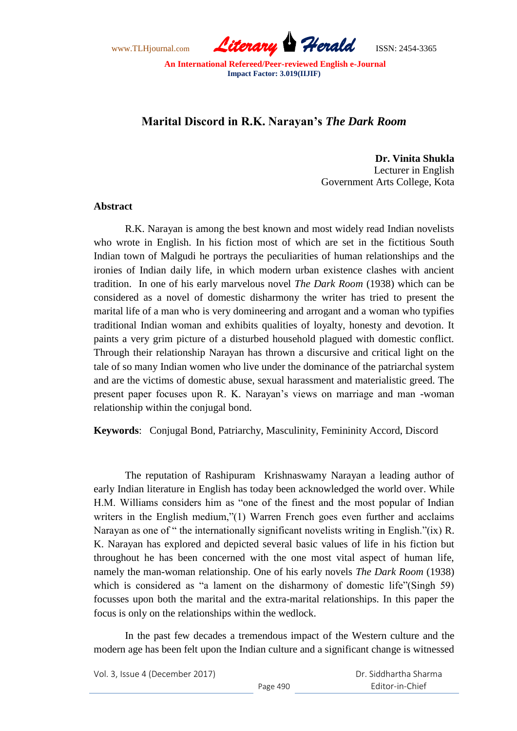www.TLHjournal.com *Literary Herald*ISSN: 2454-3365

## **Marital Discord in R.K. Narayan's** *The Dark Room*

**Dr. Vinita Shukla** Lecturer in English Government Arts College, Kota

## **Abstract**

R.K. Narayan is among the best known and most widely read Indian novelists who wrote in English. In his fiction most of which are set in the fictitious South Indian town of Malgudi he portrays the peculiarities of human relationships and the ironies of Indian daily life, in which modern urban existence clashes with ancient tradition. In one of his early marvelous novel *The Dark Room* (1938) which can be considered as a novel of domestic disharmony the writer has tried to present the marital life of a man who is very domineering and arrogant and a woman who typifies traditional Indian woman and exhibits qualities of loyalty, honesty and devotion. It paints a very grim picture of a disturbed household plagued with domestic conflict. Through their relationship Narayan has thrown a discursive and critical light on the tale of so many Indian women who live under the dominance of the patriarchal system and are the victims of domestic abuse, sexual harassment and materialistic greed. The present paper focuses upon R. K. Narayan"s views on marriage and man -woman relationship within the conjugal bond.

**Keywords**: Conjugal Bond, Patriarchy, Masculinity, Femininity Accord, Discord

The reputation of Rashipuram Krishnaswamy Narayan a leading author of early Indian literature in English has today been acknowledged the world over. While H.M. Williams considers him as "one of the finest and the most popular of Indian writers in the English medium,"(1) Warren French goes even further and acclaims Narayan as one of " the internationally significant novelists writing in English."(ix) R. K. Narayan has explored and depicted several basic values of life in his fiction but throughout he has been concerned with the one most vital aspect of human life, namely the man-woman relationship. One of his early novels *The Dark Room* (1938) which is considered as "a lament on the disharmony of domestic life"(Singh 59) focusses upon both the marital and the extra-marital relationships. In this paper the focus is only on the relationships within the wedlock.

In the past few decades a tremendous impact of the Western culture and the modern age has been felt upon the Indian culture and a significant change is witnessed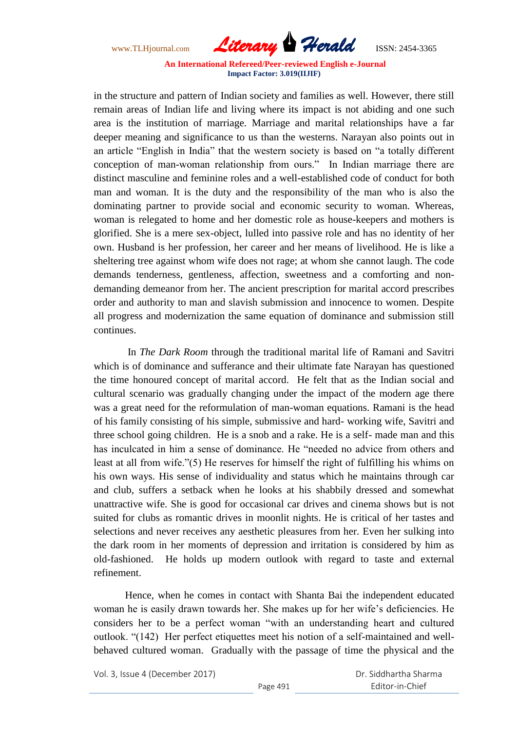www.TLHjournal.com *Literary Herald*ISSN: 2454-3365

in the structure and pattern of Indian society and families as well. However, there still remain areas of Indian life and living where its impact is not abiding and one such area is the institution of marriage. Marriage and marital relationships have a far deeper meaning and significance to us than the westerns. Narayan also points out in an article "English in India" that the western society is based on "a totally different conception of man-woman relationship from ours." In Indian marriage there are distinct masculine and feminine roles and a well-established code of conduct for both man and woman. It is the duty and the responsibility of the man who is also the dominating partner to provide social and economic security to woman. Whereas, woman is relegated to home and her domestic role as house-keepers and mothers is glorified. She is a mere sex-object, lulled into passive role and has no identity of her own. Husband is her profession, her career and her means of livelihood. He is like a sheltering tree against whom wife does not rage; at whom she cannot laugh. The code demands tenderness, gentleness, affection, sweetness and a comforting and nondemanding demeanor from her. The ancient prescription for marital accord prescribes order and authority to man and slavish submission and innocence to women. Despite all progress and modernization the same equation of dominance and submission still continues.

In *The Dark Room* through the traditional marital life of Ramani and Savitri which is of dominance and sufferance and their ultimate fate Narayan has questioned the time honoured concept of marital accord. He felt that as the Indian social and cultural scenario was gradually changing under the impact of the modern age there was a great need for the reformulation of man-woman equations. Ramani is the head of his family consisting of his simple, submissive and hard- working wife, Savitri and three school going children. He is a snob and a rake. He is a self- made man and this has inculcated in him a sense of dominance. He "needed no advice from others and least at all from wife."(5) He reserves for himself the right of fulfilling his whims on his own ways. His sense of individuality and status which he maintains through car and club, suffers a setback when he looks at his shabbily dressed and somewhat unattractive wife. She is good for occasional car drives and cinema shows but is not suited for clubs as romantic drives in moonlit nights. He is critical of her tastes and selections and never receives any aesthetic pleasures from her. Even her sulking into the dark room in her moments of depression and irritation is considered by him as old-fashioned. He holds up modern outlook with regard to taste and external refinement.

Hence, when he comes in contact with Shanta Bai the independent educated woman he is easily drawn towards her. She makes up for her wife"s deficiencies. He considers her to be a perfect woman "with an understanding heart and cultured outlook. "(142) Her perfect etiquettes meet his notion of a self-maintained and wellbehaved cultured woman. Gradually with the passage of time the physical and the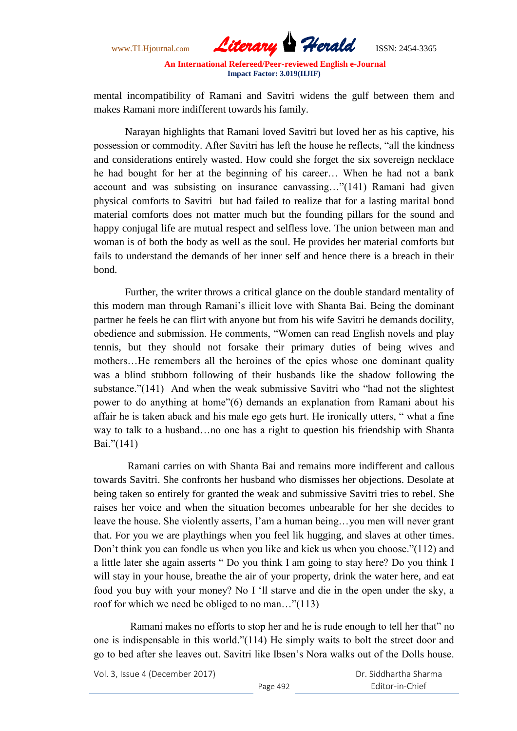www.TLHjournal.com *Literary Herald*ISSN: 2454-3365

mental incompatibility of Ramani and Savitri widens the gulf between them and makes Ramani more indifferent towards his family.

Narayan highlights that Ramani loved Savitri but loved her as his captive, his possession or commodity. After Savitri has left the house he reflects, "all the kindness and considerations entirely wasted. How could she forget the six sovereign necklace he had bought for her at the beginning of his career… When he had not a bank account and was subsisting on insurance canvassing…"(141) Ramani had given physical comforts to Savitri but had failed to realize that for a lasting marital bond material comforts does not matter much but the founding pillars for the sound and happy conjugal life are mutual respect and selfless love. The union between man and woman is of both the body as well as the soul. He provides her material comforts but fails to understand the demands of her inner self and hence there is a breach in their bond.

Further, the writer throws a critical glance on the double standard mentality of this modern man through Ramani"s illicit love with Shanta Bai. Being the dominant partner he feels he can flirt with anyone but from his wife Savitri he demands docility, obedience and submission. He comments, "Women can read English novels and play tennis, but they should not forsake their primary duties of being wives and mothers…He remembers all the heroines of the epics whose one dominant quality was a blind stubborn following of their husbands like the shadow following the substance."(141) And when the weak submissive Savitri who "had not the slightest power to do anything at home"(6) demands an explanation from Ramani about his affair he is taken aback and his male ego gets hurt. He ironically utters, " what a fine way to talk to a husband…no one has a right to question his friendship with Shanta Bai."(141)

Ramani carries on with Shanta Bai and remains more indifferent and callous towards Savitri. She confronts her husband who dismisses her objections. Desolate at being taken so entirely for granted the weak and submissive Savitri tries to rebel. She raises her voice and when the situation becomes unbearable for her she decides to leave the house. She violently asserts, I"am a human being…you men will never grant that. For you we are playthings when you feel lik hugging, and slaves at other times. Don"t think you can fondle us when you like and kick us when you choose."(112) and a little later she again asserts " Do you think I am going to stay here? Do you think I will stay in your house, breathe the air of your property, drink the water here, and eat food you buy with your money? No I "ll starve and die in the open under the sky, a roof for which we need be obliged to no man…"(113)

 Ramani makes no efforts to stop her and he is rude enough to tell her that" no one is indispensable in this world."(114) He simply waits to bolt the street door and go to bed after she leaves out. Savitri like Ibsen"s Nora walks out of the Dolls house.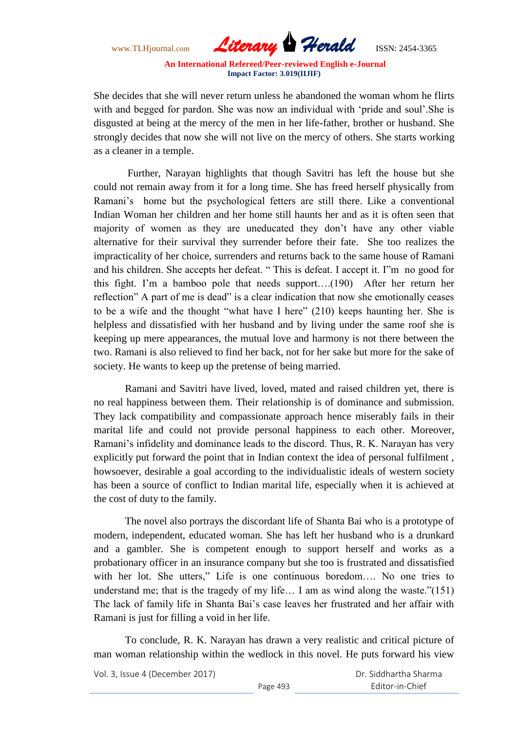www.TLHjournal.com *Literary Herald*ISSN: 2454-3365

She decides that she will never return unless he abandoned the woman whom he flirts with and begged for pardon. She was now an individual with 'pride and soul'. She is disgusted at being at the mercy of the men in her life-father, brother or husband. She strongly decides that now she will not live on the mercy of others. She starts working as a cleaner in a temple.

Further, Narayan highlights that though Savitri has left the house but she could not remain away from it for a long time. She has freed herself physically from Ramani"s home but the psychological fetters are still there. Like a conventional Indian Woman her children and her home still haunts her and as it is often seen that majority of women as they are uneducated they don"t have any other viable alternative for their survival they surrender before their fate. She too realizes the impracticality of her choice, surrenders and returns back to the same house of Ramani and his children. She accepts her defeat. " This is defeat. I accept it. I"m no good for this fight. I"m a bamboo pole that needs support….(190) After her return her reflection" A part of me is dead" is a clear indication that now she emotionally ceases to be a wife and the thought "what have I here" (210) keeps haunting her. She is helpless and dissatisfied with her husband and by living under the same roof she is keeping up mere appearances, the mutual love and harmony is not there between the two. Ramani is also relieved to find her back, not for her sake but more for the sake of society. He wants to keep up the pretense of being married.

Ramani and Savitri have lived, loved, mated and raised children yet, there is no real happiness between them. Their relationship is of dominance and submission. They lack compatibility and compassionate approach hence miserably fails in their marital life and could not provide personal happiness to each other. Moreover, Ramani's infidelity and dominance leads to the discord. Thus, R. K. Narayan has very explicitly put forward the point that in Indian context the idea of personal fulfilment , howsoever, desirable a goal according to the individualistic ideals of western society has been a source of conflict to Indian marital life, especially when it is achieved at the cost of duty to the family.

The novel also portrays the discordant life of Shanta Bai who is a prototype of modern, independent, educated woman. She has left her husband who is a drunkard and a gambler. She is competent enough to support herself and works as a probationary officer in an insurance company but she too is frustrated and dissatisfied with her lot. She utters," Life is one continuous boredom.... No one tries to understand me; that is the tragedy of my life… I am as wind along the waste."(151) The lack of family life in Shanta Bai"s case leaves her frustrated and her affair with Ramani is just for filling a void in her life.

To conclude, R. K. Narayan has drawn a very realistic and critical picture of man woman relationship within the wedlock in this novel. He puts forward his view